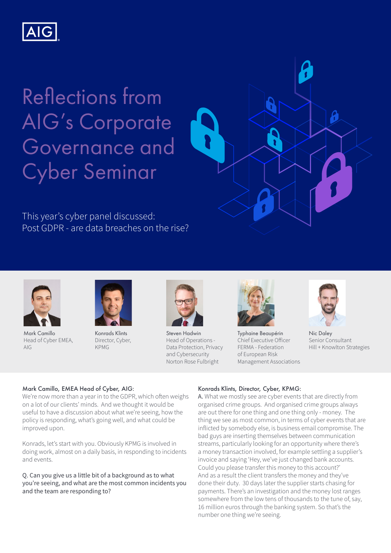

# Reflections from AIG's Corporate Governance and Cyber Seminar

This year's cyber panel discussed: Post GDPR - are data breaches on the rise?



Mark Camillo Head of Cyber EMEA, AIG



Konrads Klints Director, Cyber, KPMG



Steven Hadwin Head of Operations - Data Protection, Privacy and Cybersecurity Norton Rose Fulbright



Typhaine Beaupérin Chief Executive Officer FERMA - Federation of European Risk Management Associations



 $\boldsymbol{\beta}$ 

Nic Daley Senior Consultant Hill + Knowlton Strategies

# Mark Camillo, EMEA Head of Cyber, AIG:

We're now more than a year in to the GDPR, which often weighs on a lot of our clients' minds. And we thought it would be useful to have a discussion about what we're seeing, how the policy is responding, what's going well, and what could be improved upon.

Konrads, let's start with you. Obviously KPMG is involved in doing work, almost on a daily basis, in responding to incidents and events.

Q. Can you give us a little bit of a background as to what you're seeing, and what are the most common incidents you and the team are responding to?

# Konrads Klints, Director, Cyber, KPMG:

A. What we mostly see are cyber events that are directly from organised crime groups. And organised crime groups always are out there for one thing and one thing only - money. The thing we see as most common, in terms of cyber events that are inflicted by somebody else, is business email compromise. The bad guys are inserting themselves between communication streams, particularly looking for an opportunity where there's a money transaction involved, for example settling a supplier's invoice and saying 'Hey, we've just changed bank accounts. Could you please transfer this money to this account?' And as a result the client transfers the money and they've done their duty. 30 days later the supplier starts chasing for payments. There's an investigation and the money lost ranges somewhere from the low tens of thousands to the tune of, say, 16 million euros through the banking system. So that's the number one thing we're seeing.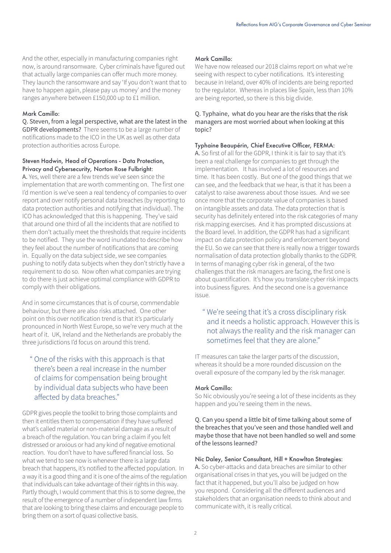And the other, especially in manufacturing companies right now, is around ransomware. Cyber criminals have figured out that actually large companies can offer much more money. They launch the ransomware and say 'If you don't want that to have to happen again, please pay us money' and the money ranges anywhere between £150,000 up to £1 million.

#### Mark Camillo:

Q. Steven, from a legal perspective, what are the latest in the GDPR developments? There seems to be a large number of notifications made to the ICO in the UK as well as other data protection authorities across Europe.

### Steven Hadwin, Head of Operations - Data Protection, Privacy and Cybersecurity, Norton Rose Fulbright:

A. Yes, well there are a few trends we've seen since the implementation that are worth commenting on. The first one I'd mention is we've seen a real tendency of companies to over report and over notify personal data breaches (by reporting to data protection authorities and notifying that individual). The ICO has acknowledged that this is happening. They've said that around one third of all the incidents that are notified to them don't actually meet the thresholds that require incidents to be notified. They use the word inundated to describe how they feel about the number of notifications that are coming in. Equally on the data subject side, we see companies pushing to notify data subjects when they don't strictly have a requirement to do so. Now often what companies are trying to do there is just achieve optimal compliance with GDPR to comply with their obligations.

And in some circumstances that is of course, commendable behaviour, but there are also risks attached. One other point on this over notification trend is that it's particularly pronounced in North West Europe, so we're very much at the heart of it. UK, Ireland and the Netherlands are probably the three jurisdictions I'd focus on around this trend.

# " One of the risks with this approach is that there's been a real increase in the number of claims for compensation being brought by individual data subjects who have been affected by data breaches."

GDPR gives people the toolkit to bring those complaints and then it entitles them to compensation if they have suffered what's called material or non-material damage as a result of a breach of the regulation. You can bring a claim if you felt distressed or anxious or had any kind of negative emotional reaction. You don't have to have suffered financial loss. So what we tend to see now is whenever there is a large data breach that happens, it's notified to the affected population. In a way it is a good thing and it is one of the aims of the regulation that individuals can take advantage of their rights in this way. Partly though, I would comment that this is to some degree, the result of the emergence of a number of independent law firms that are looking to bring these claims and encourage people to bring them on a sort of quasi collective basis.

#### Mark Camillo:

We have now released our 2018 claims report on what we're seeing with respect to cyber notifications. It's interesting because in Ireland, over 40% of incidents are being reported to the regulator. Whereas in places like Spain, less than 10% are being reported, so there is this big divide.

## Q. Typhaine, what do you hear are the risks that the risk managers are most worried about when looking at this topic?

#### Typhaine Beaupérin, Chief Executive Officer, FERMA:

A. So first of all for the GDPR, I think it is fair to say that it's been a real challenge for companies to get through the implementation. It has involved a lot of resources and time. It has been costly. But one of the good things that we can see, and the feedback that we hear, is that it has been a catalyst to raise awareness about those issues. And we see once more that the corporate value of companies is based on intangible assets and data. The data protection that is security has definitely entered into the risk categories of many risk mapping exercises. And it has prompted discussions at the Board level. In addition, the GDPR has had a significant impact on data protection policy and enforcement beyond the EU. So we can see that there is really now a trigger towards normalisation of data protection globally thanks to the GDPR. In terms of managing cyber risk in general, of the two challenges that the risk managers are facing, the first one is about quantification. It's how you translate cyber risk impacts into business figures. And the second one is a governance issue.

# " We're seeing that it's a cross disciplinary risk and it needs a holistic approach. However this is not always the reality and the risk manager can sometimes feel that they are alone."

IT measures can take the larger parts of the discussion, whereas it should be a more rounded discussion on the overall exposure of the company led by the risk manager.

#### Mark Camillo:

So Nic obviously you're seeing a lot of these incidents as they happen and you're seeing them in the news.

Q. Can you spend a little bit of time talking about some of the breaches that you've seen and those handled well and maybe those that have not been handled so well and some of the lessons learned?

#### Nic Daley, Senior Consultant, Hill + Knowlton Strategies:

A. So cyber-attacks and data breaches are similar to other organisational crises in that yes, you will be judged on the fact that it happened, but you'll also be judged on how you respond. Considering all the different audiences and stakeholders that an organisation needs to think about and communicate with, it is really critical.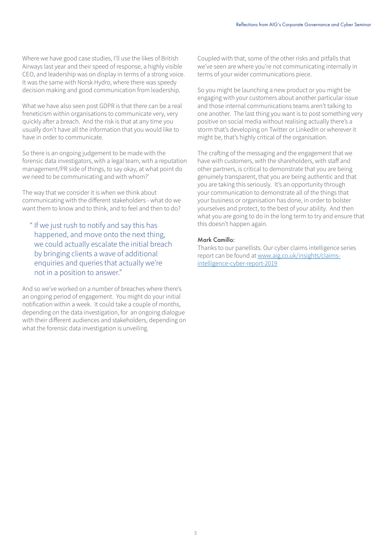Where we have good case studies, I'll use the likes of British Airways last year and their speed of response, a highly visible CEO, and leadership was on display in terms of a strong voice. It was the same with Norsk Hydro, where there was speedy decision making and good communication from leadership.

What we have also seen post GDPR is that there can be a real freneticism within organisations to communicate very, very quickly after a breach. And the risk is that at any time you usually don't have all the information that you would like to have in order to communicate.

So there is an ongoing judgement to be made with the forensic data investigators, with a legal team, with a reputation management/PR side of things, to say okay, at what point do we need to be communicating and with whom?'

The way that we consider it is when we think about communicating with the different stakeholders - what do we want them to know and to think, and to feel and then to do?

" If we just rush to notify and say this has happened, and move onto the next thing, we could actually escalate the initial breach by bringing clients a wave of additional enquiries and queries that actually we're not in a position to answer."

And so we've worked on a number of breaches where there's an ongoing period of engagement. You might do your initial notification within a week. It could take a couple of months, depending on the data investigation, for an ongoing dialogue with their different audiences and stakeholders, depending on what the forensic data investigation is unveiling.

Coupled with that, some of the other risks and pitfalls that we've seen are where you're not communicating internally in terms of your wider communications piece.

So you might be launching a new product or you might be engaging with your customers about another particular issue and those internal communications teams aren't talking to one another. The last thing you want is to post something very positive on social media without realising actually there's a storm that's developing on Twitter or LinkedIn or wherever it might be, that's highly critical of the organisation.

The crafting of the messaging and the engagement that we have with customers, with the shareholders, with staff and other partners, is critical to demonstrate that you are being genuinely transparent, that you are being authentic and that you are taking this seriously. It's an opportunity through your communication to demonstrate all of the things that your business or organisation has done, in order to bolster yourselves and protect, to the best of your ability. And then what you are going to do in the long term to try and ensure that this doesn't happen again.

## Mark Camillo:

Thanks to our panellists. Our cyber claims intelligence series report can be found at www.aig.co.uk/insights/claimsintelligence-cyber-report-2019